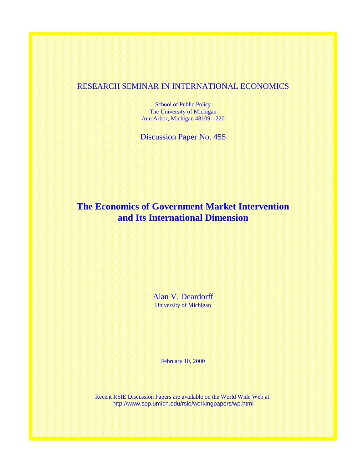## RESEARCH SEMINAR IN INTERNATIONAL ECONOMICS

School of Public Policy The University of Michigan Ann Arbor, Michigan 48109-1220

Discussion Paper No. 455

# **The Economics of Government Market Intervention and Its International Dimension**

Alan V. Deardorff University of Michigan

February 10, 2000

Recent RSIE Discussion Papers are available on the World Wide Web at: http://www.spp.umich.edu/rsie/workingpapers/wp.html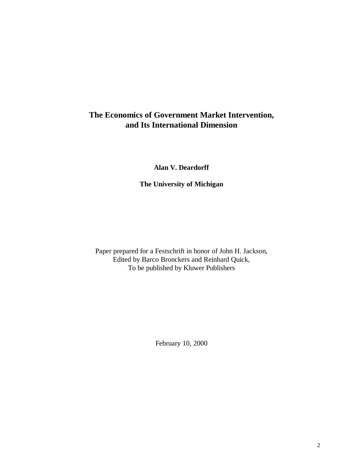## **The Economics of Government Market Intervention, and Its International Dimension**

**Alan V. Deardorff**

**The University of Michigan**

Paper prepared for a Festschrift in honor of John H. Jackson, Edited by Barco Bronckers and Reinhard Quick, To be published by Kluwer Publishers

February 10, 2000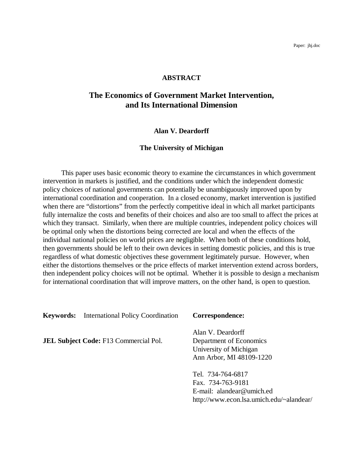#### **ABSTRACT**

## **The Economics of Government Market Intervention, and Its International Dimension**

#### **Alan V. Deardorff**

#### **The University of Michigan**

This paper uses basic economic theory to examine the circumstances in which government intervention in markets is justified, and the conditions under which the independent domestic policy choices of national governments can potentially be unambiguously improved upon by international coordination and cooperation. In a closed economy, market intervention is justified when there are "distortions" from the perfectly competitive ideal in which all market participants fully internalize the costs and benefits of their choices and also are too small to affect the prices at which they transact. Similarly, when there are multiple countries, independent policy choices will be optimal only when the distortions being corrected are local and when the effects of the individual national policies on world prices are negligible. When both of these conditions hold, then governments should be left to their own devices in setting domestic policies, and this is true regardless of what domestic objectives these government legitimately pursue. However, when either the distortions themselves or the price effects of market intervention extend across borders, then independent policy choices will not be optimal. Whether it is possible to design a mechanism for international coordination that will improve matters, on the other hand, is open to question.

**Keywords:** International Policy Coordination **Correspondence:**

**JEL Subject Code:** F13 Commercial Pol. Department of Economics

Alan V. Deardorff University of Michigan Ann Arbor, MI 48109-1220

Tel. 734-764-6817 Fax. 734-763-9181 E-mail: alandear@umich.ed http://www.econ.lsa.umich.edu/~alandear/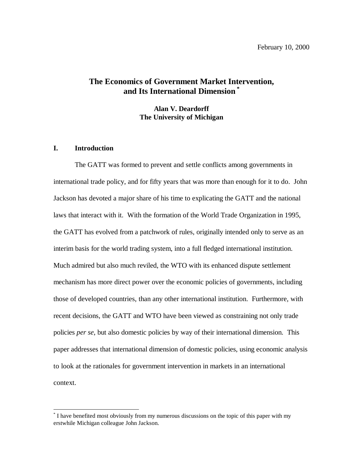## **The Economics of Government Market Intervention, and Its International Dimension \***

**Alan V. Deardorff The University of Michigan**

#### **I. Introduction**

-

The GATT was formed to prevent and settle conflicts among governments in international trade policy, and for fifty years that was more than enough for it to do. John Jackson has devoted a major share of his time to explicating the GATT and the national laws that interact with it. With the formation of the World Trade Organization in 1995, the GATT has evolved from a patchwork of rules, originally intended only to serve as an interim basis for the world trading system, into a full fledged international institution. Much admired but also much reviled, the WTO with its enhanced dispute settlement mechanism has more direct power over the economic policies of governments, including those of developed countries, than any other international institution. Furthermore, with recent decisions, the GATT and WTO have been viewed as constraining not only trade policies *per se*, but also domestic policies by way of their international dimension. This paper addresses that international dimension of domestic policies, using economic analysis to look at the rationales for government intervention in markets in an international context.

<sup>\*</sup> I have benefited most obviously from my numerous discussions on the topic of this paper with my erstwhile Michigan colleague John Jackson.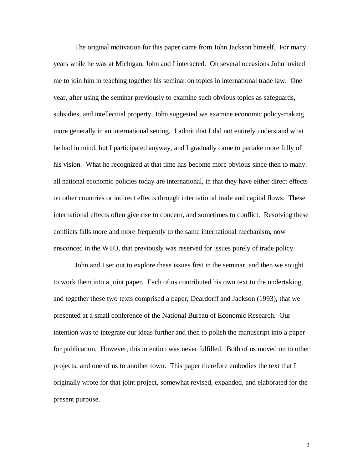The original motivation for this paper came from John Jackson himself. For many years while he was at Michigan, John and I interacted. On several occasions John invited me to join him in teaching together his seminar on topics in international trade law. One year, after using the seminar previously to examine such obvious topics as safeguards, subsidies, and intellectual property, John suggested we examine economic policy-making more generally in an international setting. I admit that I did not entirely understand what he had in mind, but I participated anyway, and I gradually came to partake more fully of his vision. What he recognized at that time has become more obvious since then to many: all national economic policies today are international, in that they have either direct effects on other countries or indirect effects through international trade and capital flows. These international effects often give rise to concern, and sometimes to conflict. Resolving these conflicts falls more and more frequently to the same international mechanism, now ensconced in the WTO, that previously was reserved for issues purely of trade policy.

John and I set out to explore these issues first in the seminar, and then we sought to work them into a joint paper. Each of us contributed his own text to the undertaking, and together these two texts comprised a paper, Deardorff and Jackson (1993), that we presented at a small conference of the National Bureau of Economic Research. Our intention was to integrate our ideas further and then to polish the manuscript into a paper for publication. However, this intention was never fulfilled. Both of us moved on to other projects, and one of us to another town. This paper therefore embodies the text that I originally wrote for that joint project, somewhat revised, expanded, and elaborated for the present purpose.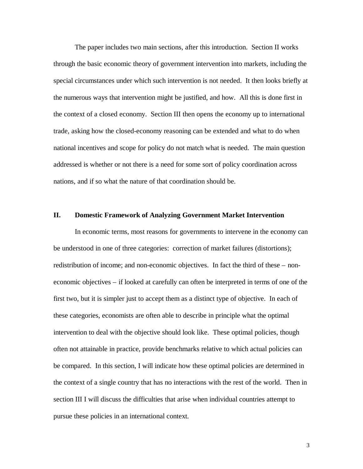The paper includes two main sections, after this introduction. Section II works through the basic economic theory of government intervention into markets, including the special circumstances under which such intervention is not needed. It then looks briefly at the numerous ways that intervention might be justified, and how. All this is done first in the context of a closed economy. Section III then opens the economy up to international trade, asking how the closed-economy reasoning can be extended and what to do when national incentives and scope for policy do not match what is needed. The main question addressed is whether or not there is a need for some sort of policy coordination across nations, and if so what the nature of that coordination should be.

### **II. Domestic Framework of Analyzing Government Market Intervention**

In economic terms, most reasons for governments to intervene in the economy can be understood in one of three categories: correction of market failures (distortions); redistribution of income; and non-economic objectives. In fact the third of these – noneconomic objectives – if looked at carefully can often be interpreted in terms of one of the first two, but it is simpler just to accept them as a distinct type of objective. In each of these categories, economists are often able to describe in principle what the optimal intervention to deal with the objective should look like. These optimal policies, though often not attainable in practice, provide benchmarks relative to which actual policies can be compared. In this section, I will indicate how these optimal policies are determined in the context of a single country that has no interactions with the rest of the world. Then in section III I will discuss the difficulties that arise when individual countries attempt to pursue these policies in an international context.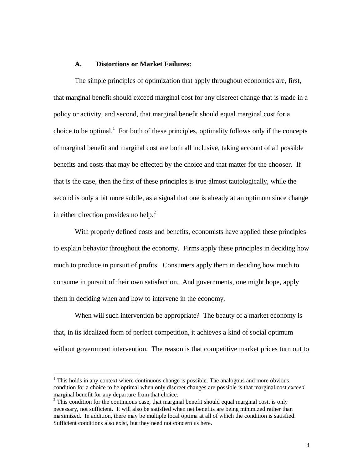#### **A. Distortions or Market Failures:**

The simple principles of optimization that apply throughout economics are, first, that marginal benefit should exceed marginal cost for any discreet change that is made in a policy or activity, and second, that marginal benefit should equal marginal cost for a choice to be optimal.<sup>1</sup> For both of these principles, optimality follows only if the concepts of marginal benefit and marginal cost are both all inclusive, taking account of all possible benefits and costs that may be effected by the choice and that matter for the chooser. If that is the case, then the first of these principles is true almost tautologically, while the second is only a bit more subtle, as a signal that one is already at an optimum since change in either direction provides no help. $^{2}$ 

With properly defined costs and benefits, economists have applied these principles to explain behavior throughout the economy. Firms apply these principles in deciding how much to produce in pursuit of profits. Consumers apply them in deciding how much to consume in pursuit of their own satisfaction. And governments, one might hope, apply them in deciding when and how to intervene in the economy.

When will such intervention be appropriate? The beauty of a market economy is that, in its idealized form of perfect competition, it achieves a kind of social optimum without government intervention. The reason is that competitive market prices turn out to

 $<sup>1</sup>$  This holds in any context where continuous change is possible. The analogous and more obvious</sup> condition for a choice to be optimal when only discreet changes are possible is that marginal cost *exceed* marginal benefit for any departure from that choice.

 $2$  This condition for the continuous case, that marginal benefit should equal marginal cost, is only necessary, not sufficient. It will also be satisfied when net benefits are being minimized rather than maximized. In addition, there may be multiple local optima at all of which the condition is satisfied. Sufficient conditions also exist, but they need not concern us here.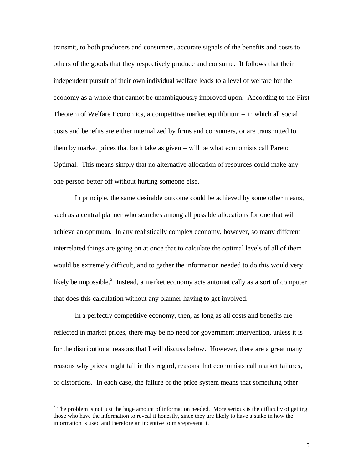transmit, to both producers and consumers, accurate signals of the benefits and costs to others of the goods that they respectively produce and consume. It follows that their independent pursuit of their own individual welfare leads to a level of welfare for the economy as a whole that cannot be unambiguously improved upon. According to the First Theorem of Welfare Economics, a competitive market equilibrium – in which all social costs and benefits are either internalized by firms and consumers, or are transmitted to them by market prices that both take as given – will be what economists call Pareto Optimal. This means simply that no alternative allocation of resources could make any one person better off without hurting someone else.

In principle, the same desirable outcome could be achieved by some other means, such as a central planner who searches among all possible allocations for one that will achieve an optimum. In any realistically complex economy, however, so many different interrelated things are going on at once that to calculate the optimal levels of all of them would be extremely difficult, and to gather the information needed to do this would very likely be impossible.<sup>3</sup> Instead, a market economy acts automatically as a sort of computer that does this calculation without any planner having to get involved.

In a perfectly competitive economy, then, as long as all costs and benefits are reflected in market prices, there may be no need for government intervention, unless it is for the distributional reasons that I will discuss below. However, there are a great many reasons why prices might fail in this regard, reasons that economists call market failures, or distortions. In each case, the failure of the price system means that something other

 $3$  The problem is not just the huge amount of information needed. More serious is the difficulty of getting those who have the information to reveal it honestly, since they are likely to have a stake in how the information is used and therefore an incentive to misrepresent it.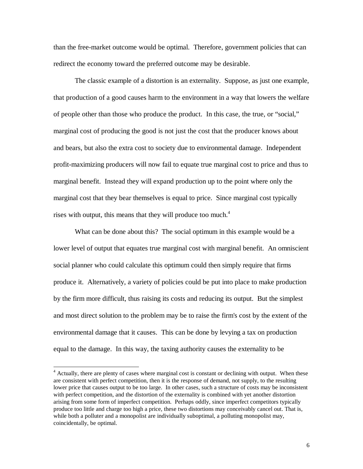than the free-market outcome would be optimal. Therefore, government policies that can redirect the economy toward the preferred outcome may be desirable.

The classic example of a distortion is an externality. Suppose, as just one example, that production of a good causes harm to the environment in a way that lowers the welfare of people other than those who produce the product. In this case, the true, or "social," marginal cost of producing the good is not just the cost that the producer knows about and bears, but also the extra cost to society due to environmental damage. Independent profit-maximizing producers will now fail to equate true marginal cost to price and thus to marginal benefit. Instead they will expand production up to the point where only the marginal cost that they bear themselves is equal to price. Since marginal cost typically rises with output, this means that they will produce too much.<sup>4</sup>

What can be done about this? The social optimum in this example would be a lower level of output that equates true marginal cost with marginal benefit. An omniscient social planner who could calculate this optimum could then simply require that firms produce it. Alternatively, a variety of policies could be put into place to make production by the firm more difficult, thus raising its costs and reducing its output. But the simplest and most direct solution to the problem may be to raise the firm's cost by the extent of the environmental damage that it causes. This can be done by levying a tax on production equal to the damage. In this way, the taxing authority causes the externality to be

<sup>&</sup>lt;sup>4</sup> Actually, there are plenty of cases where marginal cost is constant or declining with output. When these are consistent with perfect competition, then it is the response of demand, not supply, to the resulting lower price that causes output to be too large. In other cases, such a structure of costs may be inconsistent with perfect competition, and the distortion of the externality is combined with yet another distortion arising from some form of imperfect competition. Perhaps oddly, since imperfect competitors typically produce too little and charge too high a price, these two distortions may conceivably cancel out. That is, while both a polluter and a monopolist are individually suboptimal, a polluting monopolist may, coincidentally, be optimal.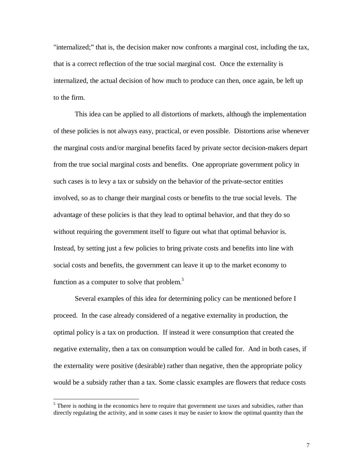"internalized;" that is, the decision maker now confronts a marginal cost, including the tax, that is a correct reflection of the true social marginal cost. Once the externality is internalized, the actual decision of how much to produce can then, once again, be left up to the firm.

This idea can be applied to all distortions of markets, although the implementation of these policies is not always easy, practical, or even possible. Distortions arise whenever the marginal costs and/or marginal benefits faced by private sector decision-makers depart from the true social marginal costs and benefits. One appropriate government policy in such cases is to levy a tax or subsidy on the behavior of the private-sector entities involved, so as to change their marginal costs or benefits to the true social levels. The advantage of these policies is that they lead to optimal behavior, and that they do so without requiring the government itself to figure out what that optimal behavior is. Instead, by setting just a few policies to bring private costs and benefits into line with social costs and benefits, the government can leave it up to the market economy to function as a computer to solve that problem. $5$ 

Several examples of this idea for determining policy can be mentioned before I proceed. In the case already considered of a negative externality in production, the optimal policy is a tax on production. If instead it were consumption that created the negative externality, then a tax on consumption would be called for. And in both cases, if the externality were positive (desirable) rather than negative, then the appropriate policy would be a subsidy rather than a tax. Some classic examples are flowers that reduce costs

 $<sup>5</sup>$  There is nothing in the economics here to require that government use taxes and subsidies, rather than</sup> directly regulating the activity, and in some cases it may be easier to know the optimal quantity than the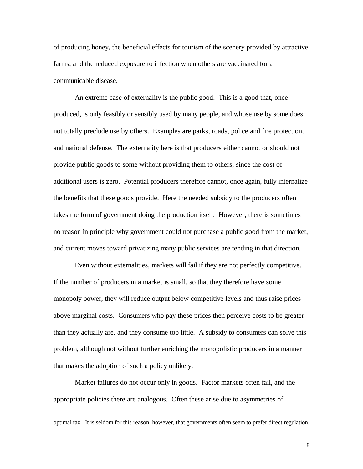of producing honey, the beneficial effects for tourism of the scenery provided by attractive farms, and the reduced exposure to infection when others are vaccinated for a communicable disease.

An extreme case of externality is the public good. This is a good that, once produced, is only feasibly or sensibly used by many people, and whose use by some does not totally preclude use by others. Examples are parks, roads, police and fire protection, and national defense. The externality here is that producers either cannot or should not provide public goods to some without providing them to others, since the cost of additional users is zero. Potential producers therefore cannot, once again, fully internalize the benefits that these goods provide. Here the needed subsidy to the producers often takes the form of government doing the production itself. However, there is sometimes no reason in principle why government could not purchase a public good from the market, and current moves toward privatizing many public services are tending in that direction.

Even without externalities, markets will fail if they are not perfectly competitive. If the number of producers in a market is small, so that they therefore have some monopoly power, they will reduce output below competitive levels and thus raise prices above marginal costs. Consumers who pay these prices then perceive costs to be greater than they actually are, and they consume too little. A subsidy to consumers can solve this problem, although not without further enriching the monopolistic producers in a manner that makes the adoption of such a policy unlikely.

Market failures do not occur only in goods. Factor markets often fail, and the appropriate policies there are analogous. Often these arise due to asymmetries of

optimal tax. It is seldom for this reason, however, that governments often seem to prefer direct regulation,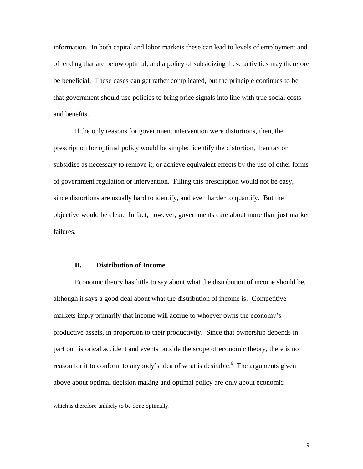information. In both capital and labor markets these can lead to levels of employment and of lending that are below optimal, and a policy of subsidizing these activities may therefore be beneficial. These cases can get rather complicated, but the principle continues to be that government should use policies to bring price signals into line with true social costs and benefits.

If the only reasons for government intervention were distortions, then, the prescription for optimal policy would be simple: identify the distortion, then tax or subsidize as necessary to remove it, or achieve equivalent effects by the use of other forms of government regulation or intervention. Filling this prescription would not be easy, since distortions are usually hard to identify, and even harder to quantify. But the objective would be clear. In fact, however, governments care about more than just market failures.

### **B. Distribution of Income**

Economic theory has little to say about what the distribution of income should be, although it says a good deal about what the distribution of income is. Competitive markets imply primarily that income will accrue to whoever owns the economy's productive assets, in proportion to their productivity. Since that ownership depends in part on historical accident and events outside the scope of economic theory, there is no reason for it to conform to anybody's idea of what is desirable.<sup>6</sup> The arguments given above about optimal decision making and optimal policy are only about economic

which is therefore unlikely to be done optimally.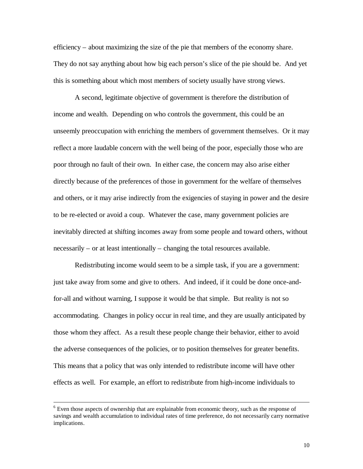efficiency – about maximizing the size of the pie that members of the economy share. They do not say anything about how big each person's slice of the pie should be. And yet this is something about which most members of society usually have strong views.

A second, legitimate objective of government is therefore the distribution of income and wealth. Depending on who controls the government, this could be an unseemly preoccupation with enriching the members of government themselves. Or it may reflect a more laudable concern with the well being of the poor, especially those who are poor through no fault of their own. In either case, the concern may also arise either directly because of the preferences of those in government for the welfare of themselves and others, or it may arise indirectly from the exigencies of staying in power and the desire to be re-elected or avoid a coup. Whatever the case, many government policies are inevitably directed at shifting incomes away from some people and toward others, without necessarily – or at least intentionally – changing the total resources available.

Redistributing income would seem to be a simple task, if you are a government: just take away from some and give to others. And indeed, if it could be done once-andfor-all and without warning, I suppose it would be that simple. But reality is not so accommodating. Changes in policy occur in real time, and they are usually anticipated by those whom they affect. As a result these people change their behavior, either to avoid the adverse consequences of the policies, or to position themselves for greater benefits. This means that a policy that was only intended to redistribute income will have other effects as well. For example, an effort to redistribute from high-income individuals to

<sup>&</sup>lt;sup>6</sup> Even those aspects of ownership that are explainable from economic theory, such as the response of savings and wealth accumulation to individual rates of time preference, do not necessarily carry normative implications.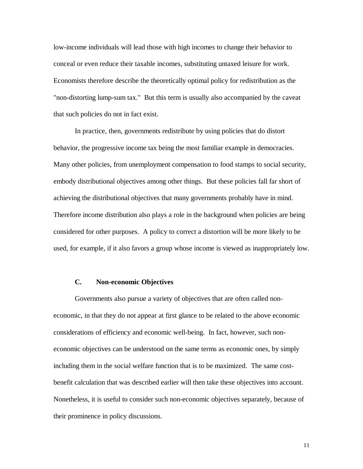low-income individuals will lead those with high incomes to change their behavior to conceal or even reduce their taxable incomes, substituting untaxed leisure for work. Economists therefore describe the theoretically optimal policy for redistribution as the "non-distorting lump-sum tax." But this term is usually also accompanied by the caveat that such policies do not in fact exist.

In practice, then, governments redistribute by using policies that do distort behavior, the progressive income tax being the most familiar example in democracies. Many other policies, from unemployment compensation to food stamps to social security, embody distributional objectives among other things. But these policies fall far short of achieving the distributional objectives that many governments probably have in mind. Therefore income distribution also plays a role in the background when policies are being considered for other purposes. A policy to correct a distortion will be more likely to be used, for example, if it also favors a group whose income is viewed as inappropriately low.

### **C. Non-economic Objectives**

Governments also pursue a variety of objectives that are often called noneconomic, in that they do not appear at first glance to be related to the above economic considerations of efficiency and economic well-being. In fact, however, such noneconomic objectives can be understood on the same terms as economic ones, by simply including them in the social welfare function that is to be maximized. The same costbenefit calculation that was described earlier will then take these objectives into account. Nonetheless, it is useful to consider such non-economic objectives separately, because of their prominence in policy discussions.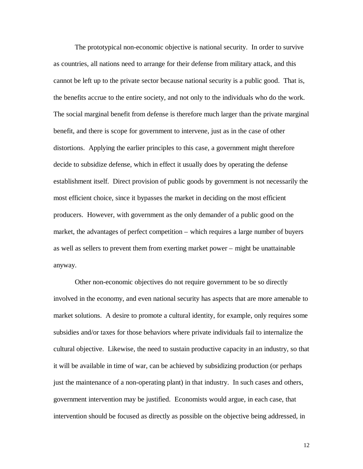The prototypical non-economic objective is national security. In order to survive as countries, all nations need to arrange for their defense from military attack, and this cannot be left up to the private sector because national security is a public good. That is, the benefits accrue to the entire society, and not only to the individuals who do the work. The social marginal benefit from defense is therefore much larger than the private marginal benefit, and there is scope for government to intervene, just as in the case of other distortions. Applying the earlier principles to this case, a government might therefore decide to subsidize defense, which in effect it usually does by operating the defense establishment itself. Direct provision of public goods by government is not necessarily the most efficient choice, since it bypasses the market in deciding on the most efficient producers. However, with government as the only demander of a public good on the market, the advantages of perfect competition – which requires a large number of buyers as well as sellers to prevent them from exerting market power – might be unattainable anyway.

Other non-economic objectives do not require government to be so directly involved in the economy, and even national security has aspects that are more amenable to market solutions. A desire to promote a cultural identity, for example, only requires some subsidies and/or taxes for those behaviors where private individuals fail to internalize the cultural objective. Likewise, the need to sustain productive capacity in an industry, so that it will be available in time of war, can be achieved by subsidizing production (or perhaps just the maintenance of a non-operating plant) in that industry. In such cases and others, government intervention may be justified. Economists would argue, in each case, that intervention should be focused as directly as possible on the objective being addressed, in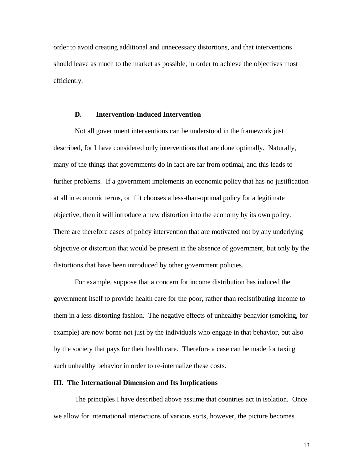order to avoid creating additional and unnecessary distortions, and that interventions should leave as much to the market as possible, in order to achieve the objectives most efficiently.

#### **D. Intervention-Induced Intervention**

Not all government interventions can be understood in the framework just described, for I have considered only interventions that are done optimally. Naturally, many of the things that governments do in fact are far from optimal, and this leads to further problems. If a government implements an economic policy that has no justification at all in economic terms, or if it chooses a less-than-optimal policy for a legitimate objective, then it will introduce a new distortion into the economy by its own policy. There are therefore cases of policy intervention that are motivated not by any underlying objective or distortion that would be present in the absence of government, but only by the distortions that have been introduced by other government policies.

For example, suppose that a concern for income distribution has induced the government itself to provide health care for the poor, rather than redistributing income to them in a less distorting fashion. The negative effects of unhealthy behavior (smoking, for example) are now borne not just by the individuals who engage in that behavior, but also by the society that pays for their health care. Therefore a case can be made for taxing such unhealthy behavior in order to re-internalize these costs.

#### **III. The International Dimension and Its Implications**

The principles I have described above assume that countries act in isolation. Once we allow for international interactions of various sorts, however, the picture becomes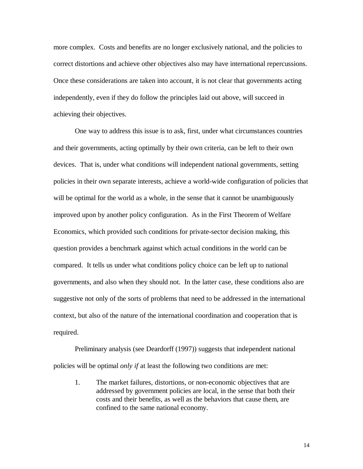more complex. Costs and benefits are no longer exclusively national, and the policies to correct distortions and achieve other objectives also may have international repercussions. Once these considerations are taken into account, it is not clear that governments acting independently, even if they do follow the principles laid out above, will succeed in achieving their objectives.

One way to address this issue is to ask, first, under what circumstances countries and their governments, acting optimally by their own criteria, can be left to their own devices. That is, under what conditions will independent national governments, setting policies in their own separate interests, achieve a world-wide configuration of policies that will be optimal for the world as a whole, in the sense that it cannot be unambiguously improved upon by another policy configuration. As in the First Theorem of Welfare Economics, which provided such conditions for private-sector decision making, this question provides a benchmark against which actual conditions in the world can be compared. It tells us under what conditions policy choice can be left up to national governments, and also when they should not. In the latter case, these conditions also are suggestive not only of the sorts of problems that need to be addressed in the international context, but also of the nature of the international coordination and cooperation that is required.

Preliminary analysis (see Deardorff (1997)) suggests that independent national policies will be optimal *only if* at least the following two conditions are met:

1. The market failures, distortions, or non-economic objectives that are addressed by government policies are local, in the sense that both their costs and their benefits, as well as the behaviors that cause them, are confined to the same national economy.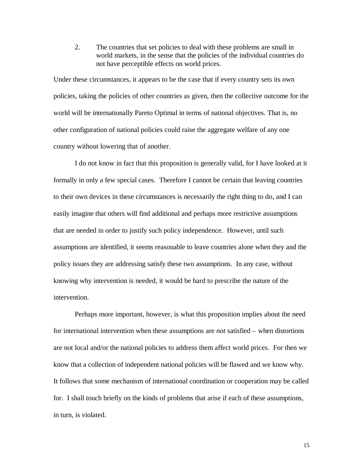2. The countries that set policies to deal with these problems are small in world markets, in the sense that the policies of the individual countries do not have perceptible effects on world prices.

Under these circumstances, it appears to be the case that if every country sets its own policies, taking the policies of other countries as given, then the collective outcome for the world will be internationally Pareto Optimal in terms of national objectives. That is, no other configuration of national policies could raise the aggregate welfare of any one country without lowering that of another.

I do not know in fact that this proposition is generally valid, for I have looked at it formally in only a few special cases. Therefore I cannot be certain that leaving countries to their own devices in these circumstances is necessarily the right thing to do, and I can easily imagine that others will find additional and perhaps more restrictive assumptions that are needed in order to justify such policy independence. However, until such assumptions are identified, it seems reasonable to leave countries alone when they and the policy issues they are addressing satisfy these two assumptions. In any case, without knowing why intervention is needed, it would be hard to prescribe the nature of the intervention.

Perhaps more important, however, is what this proposition implies about the need for international intervention when these assumptions are *not* satisfied – when distortions are not local and/or the national policies to address them affect world prices. For then we know that a collection of independent national policies will be flawed and we know why. It follows that some mechanism of international coordination or cooperation may be called for. I shall touch briefly on the kinds of problems that arise if each of these assumptions, in turn, is violated.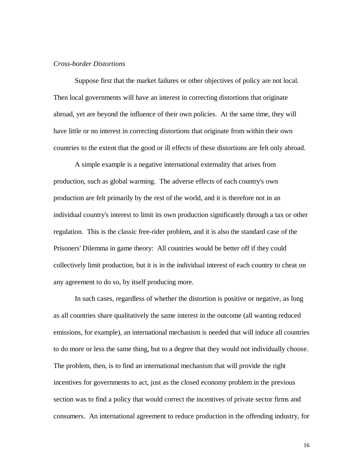#### *Cross-border Distortions*

Suppose first that the market failures or other objectives of policy are not local. Then local governments will have an interest in correcting distortions that originate abroad, yet are beyond the influence of their own policies. At the same time, they will have little or no interest in correcting distortions that originate from within their own countries to the extent that the good or ill effects of these distortions are felt only abroad.

A simple example is a negative international externality that arises from production, such as global warming. The adverse effects of each country's own production are felt primarily by the rest of the world, and it is therefore not in an individual country's interest to limit its own production significantly through a tax or other regulation. This is the classic free-rider problem, and it is also the standard case of the Prisoners' Dilemma in game theory: All countries would be better off if they could collectively limit production, but it is in the individual interest of each country to cheat on any agreement to do so, by itself producing more.

In such cases, regardless of whether the distortion is positive or negative, as long as all countries share qualitatively the same interest in the outcome (all wanting reduced emissions, for example), an international mechanism is needed that will induce all countries to do more or less the same thing, but to a degree that they would not individually choose. The problem, then, is to find an international mechanism that will provide the right incentives for governments to act, just as the closed economy problem in the previous section was to find a policy that would correct the incentives of private sector firms and consumers. An international agreement to reduce production in the offending industry, for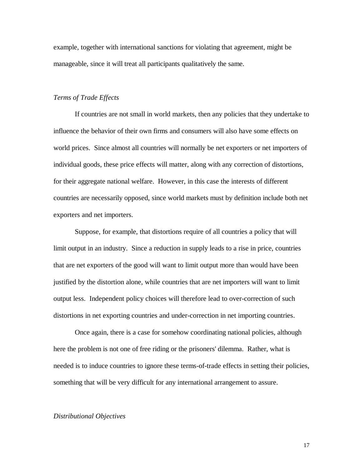example, together with international sanctions for violating that agreement, might be manageable, since it will treat all participants qualitatively the same.

#### *Terms of Trade Effects*

If countries are not small in world markets, then any policies that they undertake to influence the behavior of their own firms and consumers will also have some effects on world prices. Since almost all countries will normally be net exporters or net importers of individual goods, these price effects will matter, along with any correction of distortions, for their aggregate national welfare. However, in this case the interests of different countries are necessarily opposed, since world markets must by definition include both net exporters and net importers.

Suppose, for example, that distortions require of all countries a policy that will limit output in an industry. Since a reduction in supply leads to a rise in price, countries that are net exporters of the good will want to limit output more than would have been justified by the distortion alone, while countries that are net importers will want to limit output less. Independent policy choices will therefore lead to over-correction of such distortions in net exporting countries and under-correction in net importing countries.

Once again, there is a case for somehow coordinating national policies, although here the problem is not one of free riding or the prisoners' dilemma. Rather, what is needed is to induce countries to ignore these terms-of-trade effects in setting their policies, something that will be very difficult for any international arrangement to assure.

#### *Distributional Objectives*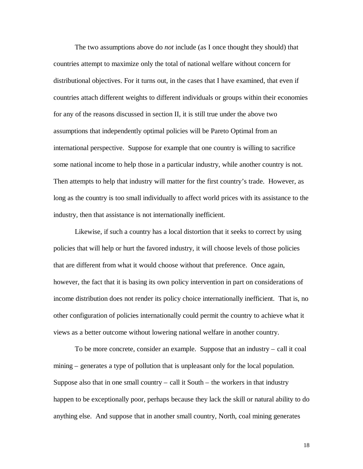The two assumptions above do *not* include (as I once thought they should) that countries attempt to maximize only the total of national welfare without concern for distributional objectives. For it turns out, in the cases that I have examined, that even if countries attach different weights to different individuals or groups within their economies for any of the reasons discussed in section II, it is still true under the above two assumptions that independently optimal policies will be Pareto Optimal from an international perspective. Suppose for example that one country is willing to sacrifice some national income to help those in a particular industry, while another country is not. Then attempts to help that industry will matter for the first country's trade. However, as long as the country is too small individually to affect world prices with its assistance to the industry, then that assistance is not internationally inefficient.

Likewise, if such a country has a local distortion that it seeks to correct by using policies that will help or hurt the favored industry, it will choose levels of those policies that are different from what it would choose without that preference. Once again, however, the fact that it is basing its own policy intervention in part on considerations of income distribution does not render its policy choice internationally inefficient. That is, no other configuration of policies internationally could permit the country to achieve what it views as a better outcome without lowering national welfare in another country.

To be more concrete, consider an example. Suppose that an industry – call it coal mining – generates a type of pollution that is unpleasant only for the local population. Suppose also that in one small country  $-$  call it South  $-$  the workers in that industry happen to be exceptionally poor, perhaps because they lack the skill or natural ability to do anything else. And suppose that in another small country, North, coal mining generates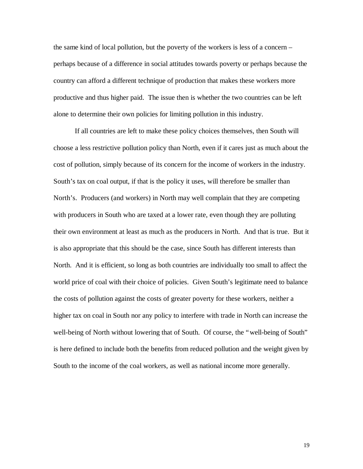the same kind of local pollution, but the poverty of the workers is less of a concern – perhaps because of a difference in social attitudes towards poverty or perhaps because the country can afford a different technique of production that makes these workers more productive and thus higher paid. The issue then is whether the two countries can be left alone to determine their own policies for limiting pollution in this industry.

If all countries are left to make these policy choices themselves, then South will choose a less restrictive pollution policy than North, even if it cares just as much about the cost of pollution, simply because of its concern for the income of workers in the industry. South's tax on coal output, if that is the policy it uses, will therefore be smaller than North's. Producers (and workers) in North may well complain that they are competing with producers in South who are taxed at a lower rate, even though they are polluting their own environment at least as much as the producers in North. And that is true. But it is also appropriate that this should be the case, since South has different interests than North. And it is efficient, so long as both countries are individually too small to affect the world price of coal with their choice of policies. Given South's legitimate need to balance the costs of pollution against the costs of greater poverty for these workers, neither a higher tax on coal in South nor any policy to interfere with trade in North can increase the well-being of North without lowering that of South. Of course, the "well-being of South" is here defined to include both the benefits from reduced pollution and the weight given by South to the income of the coal workers, as well as national income more generally.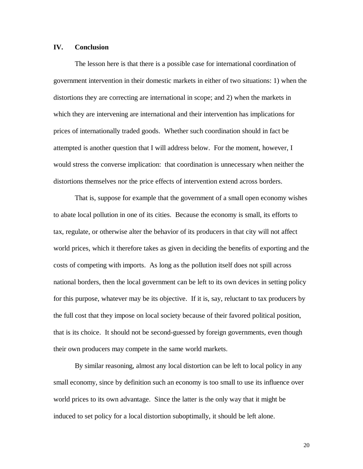#### **IV. Conclusion**

The lesson here is that there is a possible case for international coordination of government intervention in their domestic markets in either of two situations: 1) when the distortions they are correcting are international in scope; and 2) when the markets in which they are intervening are international and their intervention has implications for prices of internationally traded goods. Whether such coordination should in fact be attempted is another question that I will address below. For the moment, however, I would stress the converse implication: that coordination is unnecessary when neither the distortions themselves nor the price effects of intervention extend across borders.

That is, suppose for example that the government of a small open economy wishes to abate local pollution in one of its cities. Because the economy is small, its efforts to tax, regulate, or otherwise alter the behavior of its producers in that city will not affect world prices, which it therefore takes as given in deciding the benefits of exporting and the costs of competing with imports. As long as the pollution itself does not spill across national borders, then the local government can be left to its own devices in setting policy for this purpose, whatever may be its objective. If it is, say, reluctant to tax producers by the full cost that they impose on local society because of their favored political position, that is its choice. It should not be second-guessed by foreign governments, even though their own producers may compete in the same world markets.

By similar reasoning, almost any local distortion can be left to local policy in any small economy, since by definition such an economy is too small to use its influence over world prices to its own advantage. Since the latter is the only way that it might be induced to set policy for a local distortion suboptimally, it should be left alone.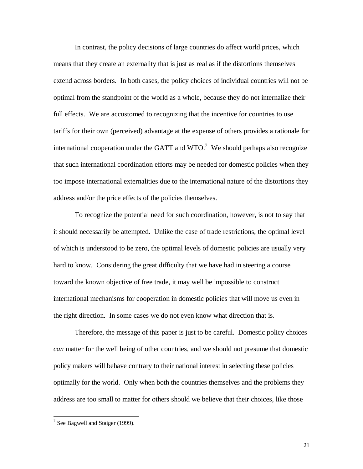In contrast, the policy decisions of large countries do affect world prices, which means that they create an externality that is just as real as if the distortions themselves extend across borders. In both cases, the policy choices of individual countries will not be optimal from the standpoint of the world as a whole, because they do not internalize their full effects. We are accustomed to recognizing that the incentive for countries to use tariffs for their own (perceived) advantage at the expense of others provides a rationale for international cooperation under the GATT and WTO.<sup>7</sup> We should perhaps also recognize that such international coordination efforts may be needed for domestic policies when they too impose international externalities due to the international nature of the distortions they address and/or the price effects of the policies themselves.

To recognize the potential need for such coordination, however, is not to say that it should necessarily be attempted. Unlike the case of trade restrictions, the optimal level of which is understood to be zero, the optimal levels of domestic policies are usually very hard to know. Considering the great difficulty that we have had in steering a course toward the known objective of free trade, it may well be impossible to construct international mechanisms for cooperation in domestic policies that will move us even in the right direction. In some cases we do not even know what direction that is.

Therefore, the message of this paper is just to be careful. Domestic policy choices *can* matter for the well being of other countries, and we should not presume that domestic policy makers will behave contrary to their national interest in selecting these policies optimally for the world. Only when both the countries themselves and the problems they address are too small to matter for others should we believe that their choices, like those

 $7$  See Bagwell and Staiger (1999).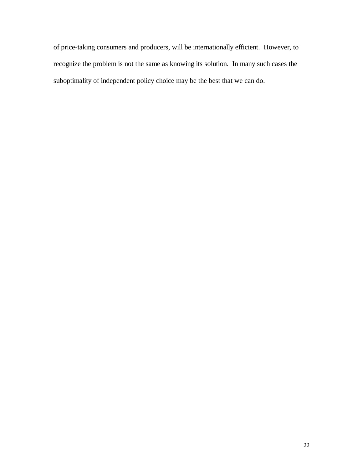of price-taking consumers and producers, will be internationally efficient. However, to recognize the problem is not the same as knowing its solution. In many such cases the suboptimality of independent policy choice may be the best that we can do.